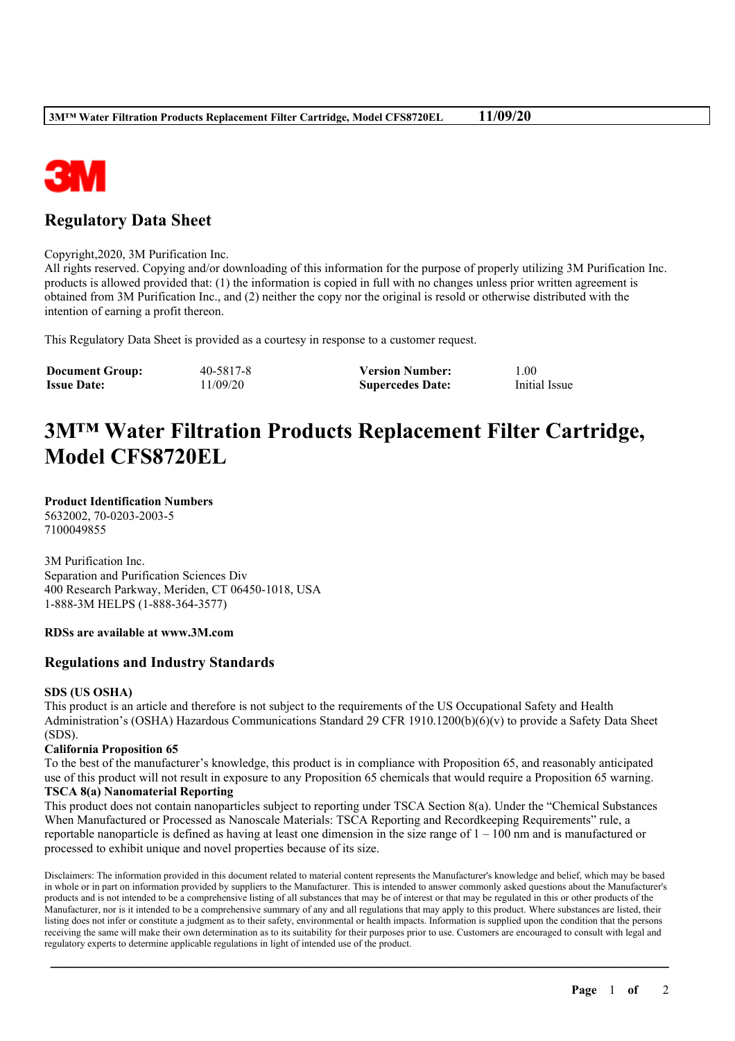

## **Regulatory Data Sheet**

Copyright,2020, 3M Purification Inc.

All rights reserved. Copying and/or downloading of this information for the purpose of properly utilizing 3M Purification Inc. products is allowed provided that: (1) the information is copied in full with no changes unless prior written agreement is obtained from 3M Purification Inc., and (2) neither the copy nor the original is resold or otherwise distributed with the intention of earning a profit thereon.

This Regulatory Data Sheet is provided as a courtesy in response to a customer request.

| <b>Document Group:</b> | 40-5817-8 | <b>Version Number:</b>  | 1.00          |
|------------------------|-----------|-------------------------|---------------|
| <b>Issue Date:</b>     | 11/09/20  | <b>Supercedes Date:</b> | Initial Issue |

# **3M™ Water Filtration Products Replacement Filter Cartridge, Model CFS8720EL**

**Product Identification Numbers** 5632002, 70-0203-2003-5 7100049855

3M Purification Inc. Separation and Purification Sciences Div 400 Research Parkway, Meriden, CT 06450-1018, USA 1-888-3M HELPS (1-888-364-3577)

### **RDSs are available at www.3M.com**

## **Regulations and Industry Standards**

### **SDS (US OSHA)**

This product is an article and therefore is not subject to the requirements of the US Occupational Safety and Health Administration's (OSHA) Hazardous Communications Standard 29 CFR 1910.1200(b)(6)(v) to provide a Safety Data Sheet (SDS).

### **California Proposition 65**

To the best of the manufacturer's knowledge, this product is in compliance with Proposition 65, and reasonably anticipated use of this product will not result in exposure to any Proposition 65 chemicals that would require a Proposition 65 warning. **TSCA 8(a) Nanomaterial Reporting**

This product does not contain nanoparticles subject to reporting under TSCA Section 8(a). Under the "Chemical Substances When Manufactured or Processed as Nanoscale Materials: TSCA Reporting and Recordkeeping Requirements" rule, a reportable nanoparticle is defined as having at least one dimension in the size range of  $1 - 100$  nm and is manufactured or processed to exhibit unique and novel properties because of its size.

Disclaimers: The information provided in this document related to material content represents the Manufacturer's knowledge and belief, which may be based in whole or in part on information provided by suppliers to the Manufacturer. This is intended to answer commonly asked questions about the Manufacturer's products and is not intended to be a comprehensive listing of all substances that may be of interest or that may be regulated in this or other products of the Manufacturer, nor is it intended to be a comprehensive summary of any and all regulations that may apply to this product. Where substances are listed, their listing does not infer or constitute a judgment as to their safety, environmental or health impacts. Information is supplied upon the condition that the persons receiving the same will make their own determination as to its suitability for their purposes prior to use. Customers are encouraged to consult with legal and regulatory experts to determine applicable regulations in light of intended use of the product.

\_\_\_\_\_\_\_\_\_\_\_\_\_\_\_\_\_\_\_\_\_\_\_\_\_\_\_\_\_\_\_\_\_\_\_\_\_\_\_\_\_\_\_\_\_\_\_\_\_\_\_\_\_\_\_\_\_\_\_\_\_\_\_\_\_\_\_\_\_\_\_\_\_\_\_\_\_\_\_\_\_\_\_\_\_\_\_\_\_\_